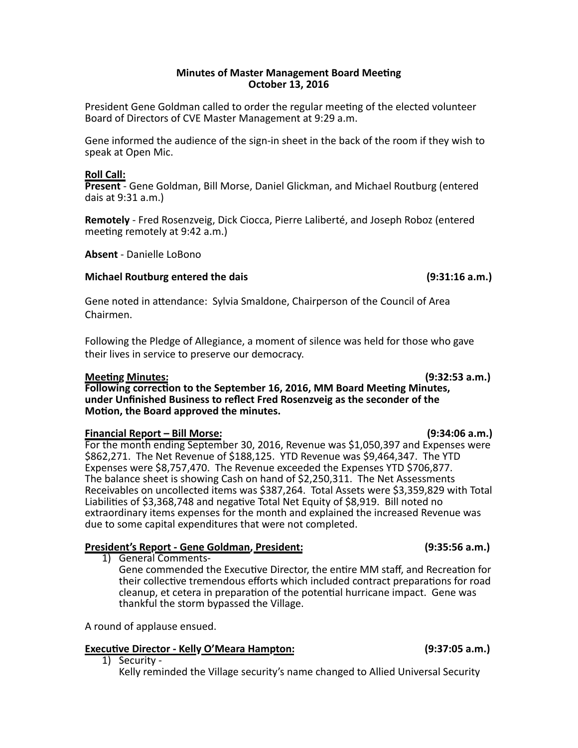### **Minutes of Master Management Board Meeting October 13, 2016**

President Gene Goldman called to order the regular meeting of the elected volunteer Board of Directors of CVE Master Management at 9:29 a.m.

Gene informed the audience of the sign-in sheet in the back of the room if they wish to speak at Open Mic.

### **Roll Call:**

**Present** - Gene Goldman, Bill Morse, Daniel Glickman, and Michael Routburg (entered dais at 9:31 a.m.)

**Remotely** - Fred Rosenzveig, Dick Ciocca, Pierre Laliberté, and Joseph Roboz (entered meeting remotely at 9:42 a.m.)

**Absent** - Danielle LoBono

### **Michael Routburg entered the dais (9:31:16 a.m.)**

Gene noted in attendance: Sylvia Smaldone, Chairperson of the Council of Area Chairmen.

Following the Pledge of Allegiance, a moment of silence was held for those who gave their lives in service to preserve our democracy.

### **Mee1ng Minutes: (9:32:53 a.m.)**

Following correction to the September 16, 2016, MM Board Meeting Minutes, under Unfinished Business to reflect Fred Rosenzveig as the seconder of the **Motion, the Board approved the minutes.** 

### **Financial Report – Bill Morse: (9:34:06 a.m.)**

For the month ending September 30, 2016, Revenue was \$1,050,397 and Expenses were \$862,271. The Net Revenue of \$188,125. YTD Revenue was \$9,464,347. The YTD Expenses were \$8,757,470. The Revenue exceeded the Expenses YTD \$706,877. The balance sheet is showing Cash on hand of \$2,250,311. The Net Assessments Receivables on uncollected items was \$387,264. Total Assets were \$3,359,829 with Total Liabilities of \$3,368,748 and negative Total Net Equity of \$8,919. Bill noted no extraordinary items expenses for the month and explained the increased Revenue was due to some capital expenditures that were not completed.

# **President's Report - Gene Goldman, President: (9:35:56 a.m.)**

1) General Comments-Gene commended the Executive Director, the entire MM staff, and Recreation for their collective tremendous efforts which included contract preparations for road cleanup, et cetera in preparation of the potential hurricane impact. Gene was thankful the storm bypassed the Village.

A round of applause ensued.

# **Executive Director - Kelly O'Meara Hampton:** (9:37:05 a.m.)

1) Security -

Kelly reminded the Village security's name changed to Allied Universal Security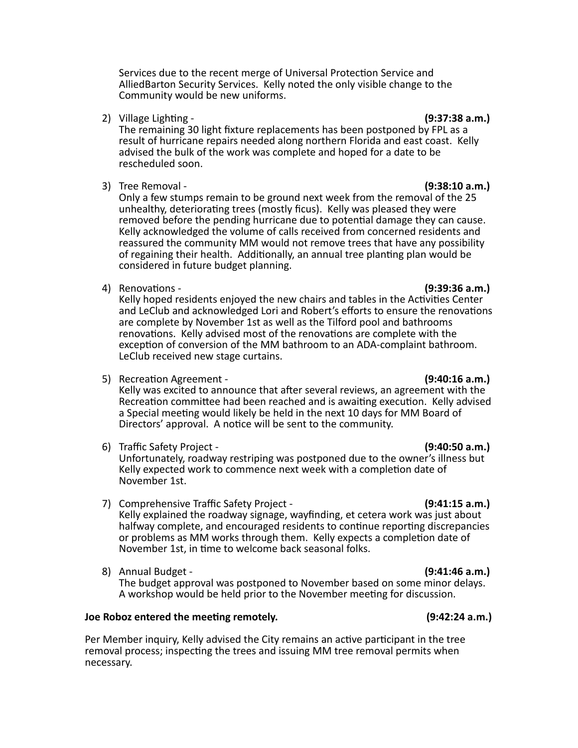Services due to the recent merge of Universal Protection Service and AlliedBarton Security Services. Kelly noted the only visible change to the Community would be new uniforms.

2) Village Lighting - **(19)** and the control of the control of the control of the control of the control of the control of the control of the control of the control of the control of the control of the control of the contr

The remaining 30 light fixture replacements has been postponed by FPL as a result of hurricane repairs needed along northern Florida and east coast. Kelly advised the bulk of the work was complete and hoped for a date to be rescheduled soon.

3) Tree Removal - **Contract Contract Contract Contract Contract Contract Contract Contract Contract Contract Contract Contract Contract Contract Contract Contract Contract Contract Contract Contract Contract Contract Contr** 

Only a few stumps remain to be ground next week from the removal of the 25 unhealthy, deteriorating trees (mostly ficus). Kelly was pleased they were removed before the pending hurricane due to potential damage they can cause. Kelly acknowledged the volume of calls received from concerned residents and reassured the community MM would not remove trees that have any possibility of regaining their health. Additionally, an annual tree planting plan would be considered in future budget planning.

4) Renovations - **(9:39:36 a.m.)** 

Kelly hoped residents enjoyed the new chairs and tables in the Activities Center and LeClub and acknowledged Lori and Robert's efforts to ensure the renovations are complete by November 1st as well as the Tilford pool and bathrooms renovations. Kelly advised most of the renovations are complete with the exception of conversion of the MM bathroom to an ADA-complaint bathroom. LeClub received new stage curtains.

5) Recreation Agreement - **(9:40:16 a.m.)** 

Kelly was excited to announce that after several reviews, an agreement with the Recreation committee had been reached and is awaiting execution. Kelly advised a Special meeting would likely be held in the next 10 days for MM Board of Directors' approval. A notice will be sent to the community.

6) Traffic Safety Project - **(9:40:50 a.m.)**

Unfortunately, roadway restriping was postponed due to the owner's illness but Kelly expected work to commence next week with a completion date of November 1st.

- 7) Comprehensive Traffic Safety Project **(9:41:15 a.m.)** Kelly explained the roadway signage, wayfinding, et cetera work was just about halfway complete, and encouraged residents to continue reporting discrepancies or problems as MM works through them. Kelly expects a completion date of November 1st, in time to welcome back seasonal folks.
- 8) Annual Budget **(1991) (19) (19) (19) (19) (19) (19) (19) (19) (19) (19) (19) (19) (19) (19) (19) (19) (19) (19) (19) (19) (19) (19) (19) (19) (19) (19) (19) (19)** The budget approval was postponed to November based on some minor delays. A workshop would be held prior to the November meeting for discussion.

# **Joe Roboz entered the mee1ng remotely. (9:42:24 a.m.)**

Per Member inquiry, Kelly advised the City remains an active participant in the tree removal process; inspecting the trees and issuing MM tree removal permits when necessary.